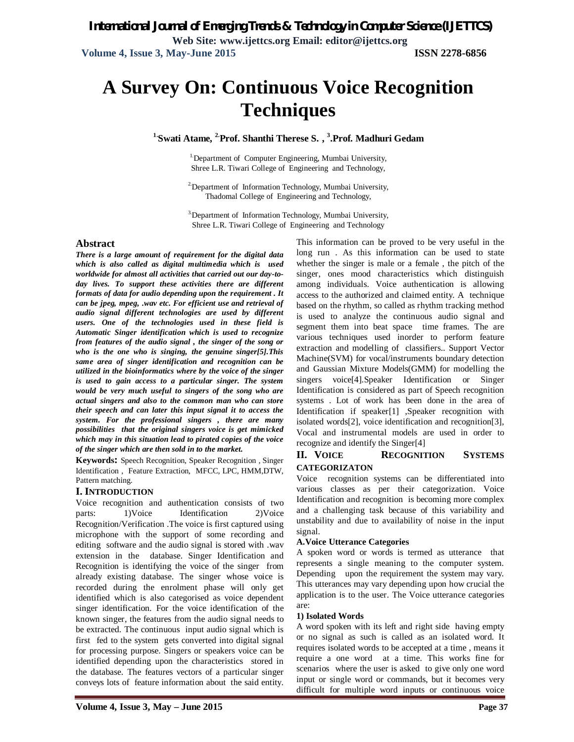# **A Survey On: Continuous Voice Recognition Techniques**

**1.Swati Atame, 2.Prof. Shanthi Therese S. , 3 .Prof. Madhuri Gedam**

<sup>1</sup>Department of Computer Engineering, Mumbai University, Shree L.R. Tiwari College of Engineering and Technology,

<sup>2</sup>Department of Information Technology, Mumbai University, Thadomal College of Engineering and Technology,

3.Department of Information Technology, Mumbai University, Shree L.R. Tiwari College of Engineering and Technology

### **Abstract**

*There is a large amount of requirement for the digital data which is also called as digital multimedia which is used worldwide for almost all activities that carried out our day-today lives. To support these activities there are different formats of data for audio depending upon the requirement . It can be jpeg, mpeg, .wav etc. For efficient use and retrieval of audio signal different technologies are used by different users. One of the technologies used in these field is Automatic Singer identification which is used to recognize from features of the audio signal , the singer of the song or who is the one who is singing, the genuine singer[5].This same area of singer identification and recognition can be utilized in the bioinformatics where by the voice of the singer is used to gain access to a particular singer. The system would be very much useful to singers of the song who are actual singers and also to the common man who can store their speech and can later this input signal it to access the system. For the professional singers , there are many possibilities that the original singers voice is get mimicked which may in this situation lead to pirated copies of the voice of the singer which are then sold in to the market.* 

**Keywords:** Speech Recognition, Speaker Recognition , Singer Identification , Feature Extraction, MFCC, LPC, HMM,DTW, Pattern matching.

### **I. INTRODUCTION**

Voice recognition and authentication consists of two parts: 1)Voice Identification 2)Voice Recognition/Verification .The voice is first captured using microphone with the support of some recording and editing software and the audio signal is stored with .wav extension in the database. Singer Identification and Recognition is identifying the voice of the singer from already existing database. The singer whose voice is recorded during the enrolment phase will only get identified which is also categorised as voice dependent singer identification. For the voice identification of the known singer, the features from the audio signal needs to be extracted. The continuous input audio signal which is first fed to the system gets converted into digital signal for processing purpose. Singers or speakers voice can be identified depending upon the characteristics stored in the database. The features vectors of a particular singer conveys lots of feature information about the said entity. This information can be proved to be very useful in the long run . As this information can be used to state whether the singer is male or a female , the pitch of the singer, ones mood characteristics which distinguish among individuals. Voice authentication is allowing access to the authorized and claimed entity. A technique based on the rhythm, so called as rhythm tracking method is used to analyze the continuous audio signal and segment them into beat space time frames. The are various techniques used inorder to perform feature extraction and modelling of classifiers.. Support Vector Machine(SVM) for vocal/instruments boundary detection and Gaussian Mixture Models(GMM) for modelling the singers voice[4].Speaker Identification or Singer Identification is considered as part of Speech recognition systems . Lot of work has been done in the area of Identification if speaker[1] ,Speaker recognition with isolated words[2], voice identification and recognition[3], Vocal and instrumental models are used in order to recognize and identify the Singer[4]

### **II. VOICE RECOGNITION SYSTEMS CATEGORIZATON**

Voice recognition systems can be differentiated into various classes as per their categorization. Voice Identification and recognition is becoming more complex and a challenging task because of this variability and unstability and due to availability of noise in the input signal.

### **A.Voice Utterance Categories**

A spoken word or words is termed as utterance that represents a single meaning to the computer system. Depending upon the requirement the system may vary. This utterances may vary depending upon how crucial the application is to the user. The Voice utterance categories are:

### **1) Isolated Words**

A word spoken with its left and right side having empty or no signal as such is called as an isolated word. It requires isolated words to be accepted at a time , means it require a one word at a time. This works fine for scenarios where the user is asked to give only one word input or single word or commands, but it becomes very difficult for multiple word inputs or continuous voice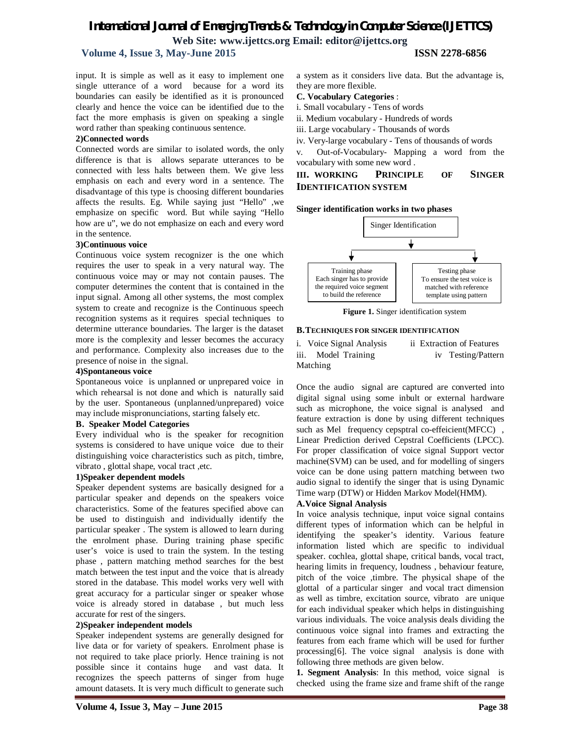# *International Journal of Emerging Trends & Technology in Computer Science (IJETTCS)* **Web Site: www.ijettcs.org Email: editor@ijettcs.org**

## **Volume 4, Issue 3, May-June 2015 ISSN 2278-6856**

input. It is simple as well as it easy to implement one single utterance of a word because for a word its boundaries can easily be identified as it is pronounced clearly and hence the voice can be identified due to the fact the more emphasis is given on speaking a single word rather than speaking continuous sentence.

### **2)Connected words**

Connected words are similar to isolated words, the only difference is that is allows separate utterances to be connected with less halts between them. We give less emphasis on each and every word in a sentence. The disadvantage of this type is choosing different boundaries affects the results. Eg. While saying just "Hello" ,we emphasize on specific word. But while saying "Hello how are u", we do not emphasize on each and every word in the sentence.

### **3)Continuous voice**

Continuous voice system recognizer is the one which requires the user to speak in a very natural way. The continuous voice may or may not contain pauses. The computer determines the content that is contained in the input signal. Among all other systems, the most complex system to create and recognize is the Continuous speech recognition systems as it requires special techniques to determine utterance boundaries. The larger is the dataset more is the complexity and lesser becomes the accuracy and performance. Complexity also increases due to the presence of noise in the signal.

### **4)Spontaneous voice**

Spontaneous voice is unplanned or unprepared voice in which rehearsal is not done and which is naturally said by the user. Spontaneous (unplanned/unprepared) voice may include mispronunciations, starting falsely etc.

### **B. Speaker Model Categories**

Every individual who is the speaker for recognition systems is considered to have unique voice due to their distinguishing voice characteristics such as pitch, timbre, vibrato , glottal shape, vocal tract ,etc.

### **1)Speaker dependent models**

Speaker dependent systems are basically designed for a particular speaker and depends on the speakers voice characteristics. Some of the features specified above can be used to distinguish and individually identify the particular speaker . The system is allowed to learn during the enrolment phase. During training phase specific user's voice is used to train the system. In the testing phase , pattern matching method searches for the best match between the test input and the voice that is already stored in the database. This model works very well with great accuracy for a particular singer or speaker whose voice is already stored in database , but much less accurate for rest of the singers.

### **2)Speaker independent models**

Speaker independent systems are generally designed for live data or for variety of speakers. Enrolment phase is not required to take place priorly. Hence training is not possible since it contains huge and vast data. It recognizes the speech patterns of singer from huge amount datasets. It is very much difficult to generate such a system as it considers live data. But the advantage is, they are more flexible.

### **C. Vocabulary Categories** :

- i. Small vocabulary Tens of words
- ii. Medium vocabulary Hundreds of words
- iii. Large vocabulary Thousands of words
- iv. Very-large vocabulary Tens of thousands of words

v. Out-of-Vocabulary- Mapping a word from the vocabulary with some new word .

**III. WORKING PRINCIPLE OF SINGER IDENTIFICATION SYSTEM**

### **Singer identification works in two phases**



**Figure 1.** Singer identification system

### **B.TECHNIQUES FOR SINGER IDENTIFICATION**

i. Voice Signal Analysis ii Extraction of Features iii. Model Training iv Testing/Pattern Matching

Once the audio signal are captured are converted into digital signal using some inbult or external hardware such as microphone, the voice signal is analysed and feature extraction is done by using different techniques such as Mel frequency cepsptral co-effeicient(MFCC) , Linear Prediction derived Cepstral Coefficients (LPCC). For proper classification of voice signal Support vector machine(SVM) can be used, and for modelling of singers voice can be done using pattern matching between two audio signal to identify the singer that is using Dynamic Time warp (DTW) or Hidden Markov Model(HMM).

### **A.Voice Signal Analysis**

In voice analysis technique, input voice signal contains different types of information which can be helpful in identifying the speaker's identity. Various feature information listed which are specific to individual speaker. cochlea, glottal shape, critical bands, vocal tract, hearing limits in frequency, loudness , behaviour feature, pitch of the voice ,timbre. The physical shape of the glottal of a particular singer and vocal tract dimension as well as timbre, excitation source, vibrato are unique for each individual speaker which helps in distinguishing various individuals. The voice analysis deals dividing the continuous voice signal into frames and extracting the features from each frame which will be used for further processing[6]. The voice signal analysis is done with following three methods are given below.

**1. Segment Analysis**: In this method, voice signal is checked using the frame size and frame shift of the range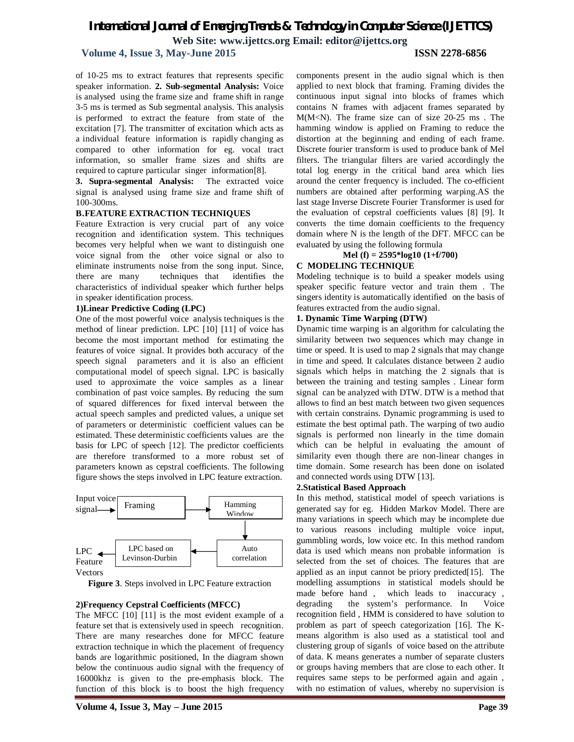# *International Journal of Emerging Trends & Technology in Computer Science (IJETTCS)*

**Web Site: www.ijettcs.org Email: editor@ijettcs.org** 

## **Volume 4, Issue 3, May-June 2015 ISSN 2278-6856**

of 10-25 ms to extract features that represents specific speaker information. **2. Sub-segmental Analysis:** Voice is analysed using the frame size and frame shift in range 3-5 ms is termed as Sub segmental analysis. This analysis is performed to extract the feature from state of the excitation [7]. The transmitter of excitation which acts as a individual feature information is rapidly changing as compared to other information for eg. vocal tract information, so smaller frame sizes and shifts are required to capture particular singer information[8].

**3. Supra-segmental Analysis:** The extracted voice signal is analysed using frame size and frame shift of 100-300ms.

### **B.FEATURE EXTRACTION TECHNIQUES**

Feature Extraction is very crucial part of any voice recognition and identification system. This techniques becomes very helpful when we want to distinguish one voice signal from the other voice signal or also to eliminate instruments noise from the song input. Since, there are many techniques that identifies the characteristics of individual speaker which further helps in speaker identification process.

### **1)Linear Predictive Coding (LPC)**

One of the most powerful voice analysis techniques is the method of linear prediction. LPC [10] [11] of voice has become the most important method for estimating the features of voice signal. It provides both accuracy of the speech signal parameters and it is also an efficient computational model of speech signal. LPC is basically used to approximate the voice samples as a linear combination of past voice samples. By reducing the sum of squared differences for fixed interval between the actual speech samples and predicted values, a unique set of parameters or deterministic coefficient values can be estimated. These deterministic coefficients values are the basis for LPC of speech [12]. The predictor coefficients are therefore transformed to a more robust set of parameters known as cepstral coefficients. The following figure shows the steps involved in LPC feature extraction.



Vectors

**Figure 3**. Steps involved in LPC Feature extraction

### **2)Frequency Cepstral Coefficients (MFCC)**

The MFCC [10] [11] is the most evident example of a feature set that is extensively used in speech recognition. There are many researches done for MFCC feature extraction technique in which the placement of frequency bands are logarithmic positioned, In the diagram shown below the continuous audio signal with the frequency of 16000khz is given to the pre-emphasis block. The function of this block is to boost the high frequency components present in the audio signal which is then applied to next block that framing. Framing divides the continuous input signal into blocks of frames which contains N frames with adjacent frames separated by M(M<N). The frame size can of size 20-25 ms . The hamming window is applied on Framing to reduce the distortion at the beginning and ending of each frame. Discrete fourier transform is used to produce bank of Mel filters. The triangular filters are varied accordingly the total log energy in the critical band area which lies around the center frequency is included. The co-efficient numbers are obtained after performing warping.AS the last stage Inverse Discrete Fourier Transformer is used for the evaluation of cepstral coefficients values [8] [9]. It converts the time domain coefficients to the frequency domain where N is the length of the DFT. MFCC can be evaluated by using the following formula

### **Mel (f) = 2595\*log10 (1+f/700)**

### **C MODELING TECHNIQUE**

Modeling technique is to build a speaker models using speaker specific feature vector and train them . The singers identity is automatically identified on the basis of features extracted from the audio signal.

### **1. Dynamic Time Warping (DTW)**

Dynamic time warping is an algorithm for calculating the similarity between two sequences which may change in time or speed. It is used to map 2 signals that may change in time and speed. It calculates distance between 2 audio signals which helps in matching the 2 signals that is between the training and testing samples . Linear form signal can be analyzed with DTW. DTW is a method that allows to find an best match between two given sequences with certain constrains. Dynamic programming is used to estimate the best optimal path. The warping of two audio signals is performed non linearly in the time domain which can be helpful in evaluating the amount of similarity even though there are non-linear changes in time domain. Some research has been done on isolated and connected words using DTW [13].

### **2.Statistical Based Approach**

In this method, statistical model of speech variations is generated say for eg. Hidden Markov Model. There are many variations in speech which may be incomplete due to various reasons including multiple voice input, gummbling words, low voice etc. In this method random data is used which means non probable information is selected from the set of choices. The features that are applied as an input cannot be priory predicted[15]. The modelling assumptions in statistical models should be made before hand , which leads to inaccuracy , degrading the system's performance. In Voice recognition field , HMM is considered to have solution to problem as part of speech categorization [16]. The Kmeans algorithm is also used as a statistical tool and clustering group of siganls of voice based on the attribute of data. K means generates a number of separate clusters or groups having members that are close to each other. It requires same steps to be performed again and again , with no estimation of values, whereby no supervision is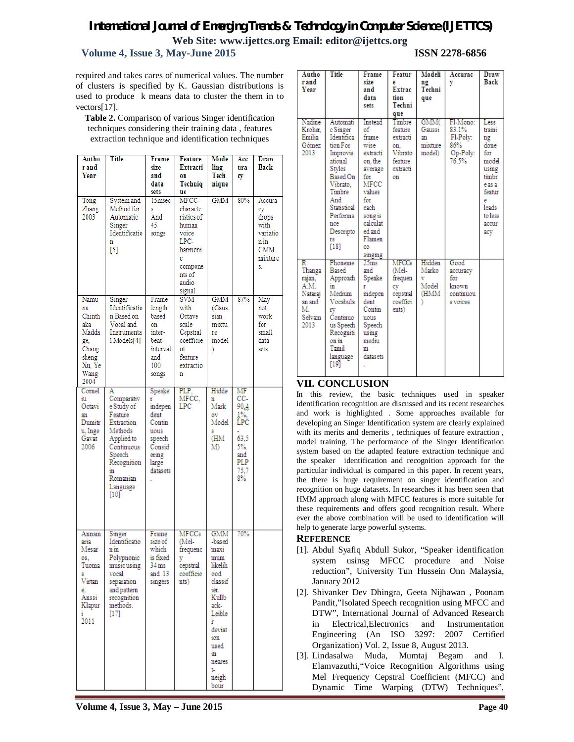# *International Journal of Emerging Trends & Technology in Computer Science (IJETTCS)* **Web Site: www.ijettcs.org Email: editor@ijettcs.org**

## **Volume 4, Issue 3, May-June 2015 ISSN 2278-6856**

required and takes cares of numerical values. The number of clusters is specified by K. Gaussian distributions is used to produce k means data to cluster the them in to vectors[17].

**Table 2.** Comparison of various Singer identification techniques considering their training data , features extraction technique and identification techniques

| Autho<br>r and<br>Year                                                                       | Title                                                                                                                                                        | Frame<br>size<br>and<br>data<br>sets                                                          | Feature<br>Extracti<br>on<br>Techniq<br>ue                                                                         | Mode<br>ling<br>Tech<br>nique                                                                                                                                     | Acc<br>ura<br>cy                                                           | Draw<br><b>Back</b>                                                       |
|----------------------------------------------------------------------------------------------|--------------------------------------------------------------------------------------------------------------------------------------------------------------|-----------------------------------------------------------------------------------------------|--------------------------------------------------------------------------------------------------------------------|-------------------------------------------------------------------------------------------------------------------------------------------------------------------|----------------------------------------------------------------------------|---------------------------------------------------------------------------|
| Tong<br>Zhang<br>2003                                                                        | System and<br>Method for<br>Automatic<br>Singer<br>Identificatio<br>n<br>$[5]$                                                                               | 15msec<br>s<br>And<br>45<br>songs                                                             | MFCC-<br>characte<br>ristics of<br>human<br>voice<br>LPC-<br>harmoni<br>c<br>compone<br>nts of<br>audio<br>signal. | GMM                                                                                                                                                               | 80%                                                                        | Accura<br>cy<br>drops<br>with<br>variatio<br>n in<br>GMM<br>mixture<br>S. |
| Namu<br>nu<br>Chinth<br>aka<br>Madda<br>ge,<br>Chang<br>sheng<br>Xu, Ye<br>Wang<br>2004      | Singer<br>Identificatio<br>n Based on<br>Vocal and<br>Instrumenta<br>1 Models[4]                                                                             | Frame<br>length<br>based<br>on<br>inter-<br>beat-<br>interval<br>and<br>100<br>songs          | SVM<br>with<br>Octave<br>scale<br>Cepstral<br>coefficie<br>nt<br>feature<br>extractio<br>n                         | GMM<br>(Gaus<br>sian<br>mixtu<br>re<br>model<br>)                                                                                                                 | 87%                                                                        | May<br>not<br>work<br>for<br>small<br>data<br>sets                        |
| Cornel<br>iu<br>Octavi<br>an<br>Dumitr<br>u, Inge<br>Gavat<br>2006                           | A<br>Comparativ<br>e Study of<br>Feature<br>Extraction<br>Methods<br>Applied to<br>Continuous<br>Speech<br>Recognition<br>in<br>Romanian<br>Language<br>[10] | Speake<br>indepen<br>dent<br>Contin<br>uous<br>speech<br>Consid<br>ering<br>large<br>datasets | PLP,<br>MFCC.<br>LPC                                                                                               | Hidde<br>n<br>Mark<br>ov<br>Model<br>s<br>ŒМ<br>M)                                                                                                                | MF<br>CC-<br>90.4<br>1%.<br>LPC<br>63.5<br>5%.<br>and<br>PLP<br>75,7<br>8% |                                                                           |
| Annam<br>aria<br>Mesar<br>OS.<br>Tuoma<br>s.<br>Virtan<br>e.<br>Anssi<br>Klapur<br>1<br>2011 | Singer<br>Identificatio<br>$n \, \text{in}$<br>Polypnonic<br>music using<br>vocal<br>separation<br>and pattern<br>recognition<br>methods.<br>[17]            | Frame<br>size of<br>which<br>is fixed<br>34 ms<br>and 13<br>singers                           | MFCCs<br>(Mel-<br>frequenc<br>y<br>cepstral<br>coefficie<br>nts)                                                   | GMM<br>-based<br>maxi<br>mum<br>likelih<br>ood<br>classif<br>ier.<br>Kullb<br>ack-<br>Leible<br>ť<br>deviat<br>ion<br>used<br>in<br>neares<br>t-<br>neigh<br>bour | 70%                                                                        |                                                                           |

| Autho<br>r and<br>Year                                                      | <b>Title</b>                                                                                                                                                                           | Frame<br>size<br>and<br>data<br>sets                                                                                                                                        | Featur<br>e<br><b>Extrac</b><br>tion<br>Techni<br>que                        | Modeli<br>ng<br>Techni<br>que                    | Accurac<br>y                                              | <b>Draw</b><br>Back                                                                                                         |
|-----------------------------------------------------------------------------|----------------------------------------------------------------------------------------------------------------------------------------------------------------------------------------|-----------------------------------------------------------------------------------------------------------------------------------------------------------------------------|------------------------------------------------------------------------------|--------------------------------------------------|-----------------------------------------------------------|-----------------------------------------------------------------------------------------------------------------------------|
| Nadine<br>Kroher.<br>Emilia<br>Gómez<br>2013                                | Automati<br>c Singer<br>Identifica<br>tion For<br>Improvis<br>ational<br>Styles<br>Based On<br>Vibrato.<br>Timbre<br>And<br>Statistical<br>Performa<br>nce<br>Descripto<br>fS.<br>[18] | Instead<br>of<br>frame<br>wise<br>extracti<br>on, the<br>average<br>for<br><b>MFCC</b><br>values<br>for<br>each<br>song is<br>calculat<br>ed and<br>Flamen<br>co<br>singing | Timbre<br>feature<br>extracti<br>on.<br>Vibrato<br>feature<br>extracti<br>on | GMM(<br>Gaussi<br>an<br>mixture<br>model)        | Fl-Mono:<br>83.1%<br>Fl-Poly:<br>86%<br>Op-Poly:<br>76.5% | Less<br>traini<br>ng<br>done<br>for<br>model<br>using<br>timbr<br>e as a<br>featur<br>e<br>leads<br>to less<br>accur<br>acy |
| R.<br>Thanga<br>rajan,<br>A.M.<br>Nataraj<br>an and<br>Μ.<br>Selvam<br>2013 | Phoneme<br><b>Based</b><br>Approach<br>in<br>Medium<br>Vocabula<br>fV<br>Continuo<br>us Speech<br>Recogniti<br>on in<br>Tamil<br>language<br>[19]                                      | 25ms<br>and<br>Speake<br>ť<br>indepen<br>dent<br>Contin<br>uous<br>Speech<br>using<br>mediu<br>m<br>datasets                                                                | <b>MFCCs</b><br>(Mel-<br>frequen<br>cy<br>cepstral<br>coeffici<br>ents)      | Hidden<br>Marko<br>v<br>Model<br><b>HMM</b><br>١ | Good<br>accuracy<br>for<br>known<br>continuou<br>s voices |                                                                                                                             |

# **VII. CONCLUSION**

In this review, the basic techniques used in speaker identification recognition are discussed and its recent researches and work is highlighted . Some approaches available for developing an Singer Identification system are clearly explained with its merits and demerits , techniques of feature extraction , model training. The performance of the Singer Identification system based on the adapted feature extraction technique and the speaker identification and recognition approach for the particular individual is compared in this paper. In recent years, the there is huge requirement on singer identification and recognition on huge datasets. In researches it has been seen that HMM approach along with MFCC features is more suitable for these requirements and offers good recognition result. Where ever the above combination will be used to identification will help to generate large powerful systems.

### **REFERENCE**

- [1]. Abdul Syafiq Abdull Sukor, "Speaker identification system usinsg MFCC procedure and Noise reduction", University Tun Hussein Onn Malaysia, January 2012
- [2]. Shivanker Dev Dhingra, Geeta Nijhawan , Poonam Pandit,"Isolated Speech recognition using MFCC and DTW", International Journal of Advanced Research in Electrical,Electronics and Instrumentation Engineering (An ISO 3297: 2007 Certified Organization) Vol. 2, Issue 8, August 2013.
- [3]. Lindasalwa Muda, Mumtaj Begam and I. Elamvazuthi,"Voice Recognition Algorithms using Mel Frequency Cepstral Coefficient (MFCC) and Dynamic Time Warping (DTW) Techniques",